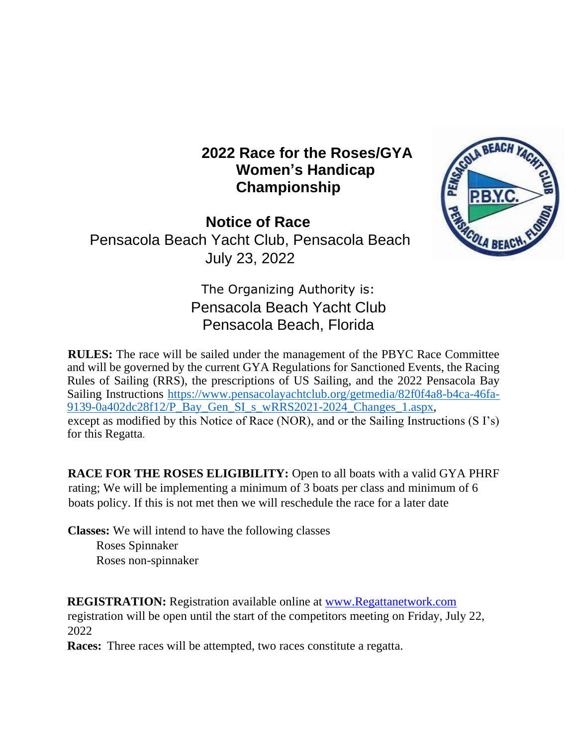## **2022 Race for the Roses/GYA Women's Handicap Championship**

**Notice of Race**  Pensacola Beach Yacht Club, Pensacola Beach July 23, 2022



# The Organizing Authority is: Pensacola Beach Yacht Club Pensacola Beach, Florida

**RULES:** The race will be sailed under the management of the PBYC Race Committee and will be governed by the current GYA Regulations for Sanctioned Events, the Racing Rules of Sailing (RRS), the prescriptions of US Sailing, and the 2022 Pensacola Bay Sailing Instructions [https://www.pensacolayachtclub.org/getmedia/82f0f4a8-b4ca-46fa-](https://www.pensacolayachtclub.org/getmedia/82f0f4a8-b4ca-46fa-9139-0a402dc28f12/P_Bay_Gen_SI_s_wRRS2021-2024_Changes_1.aspx)[9139-0a402dc28f12/P\\_Bay\\_Gen\\_SI\\_s\\_wRRS2021-2024\\_Changes\\_1.aspx,](https://www.pensacolayachtclub.org/getmedia/82f0f4a8-b4ca-46fa-9139-0a402dc28f12/P_Bay_Gen_SI_s_wRRS2021-2024_Changes_1.aspx) except as modified by this Notice of Race (NOR), and or the Sailing Instructions (S I's) for this Regatta.

**RACE FOR THE ROSES ELIGIBILITY:** Open to all boats with a valid GYA PHRF rating; We will be implementing a minimum of 3 boats per class and minimum of 6 boats policy. If this is not met then we will reschedule the race for a later date

**Classes:** We will intend to have the following classes Roses Spinnaker Roses non-spinnaker

**REGISTRATION:** Registration available online at [www.Regattanetwork.com](http://www.regattanetwork.com/) [re](http://www.regattanetwork.com/)gistration will be open until the start of the competitors meeting on Friday, July 22, 2022

**Races:** Three races will be attempted, two races constitute a regatta.